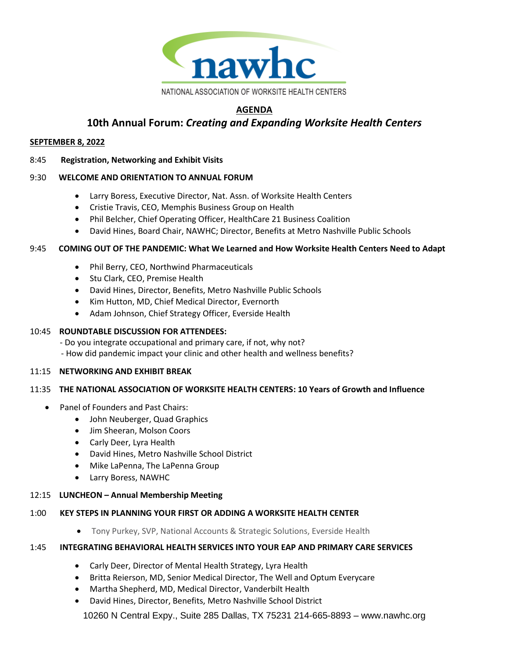

# **AGENDA**

# **10th Annual Forum:** *Creating and Expanding Worksite Health Centers*

## **SEPTEMBER 8, 2022**

# 8:45 **Registration, Networking and Exhibit Visits**

# 9:30 **WELCOME AND ORIENTATION TO ANNUAL FORUM**

- Larry Boress, Executive Director, Nat. Assn. of Worksite Health Centers
- Cristie Travis, CEO, Memphis Business Group on Health
- Phil Belcher, Chief Operating Officer, HealthCare 21 Business Coalition
- David Hines, Board Chair, NAWHC; Director, Benefits at Metro Nashville Public Schools

## 9:45 **COMING OUT OF THE PANDEMIC: What We Learned and How Worksite Health Centers Need to Adapt**

- Phil Berry, CEO, Northwind Pharmaceuticals
- Stu Clark, CEO, Premise Health
- David Hines, Director, Benefits, Metro Nashville Public Schools
- Kim Hutton, MD, Chief Medical Director, Evernorth
- Adam Johnson, Chief Strategy Officer, Everside Health

## 10:45 **ROUNDTABLE DISCUSSION FOR ATTENDEES:**

- Do you integrate occupational and primary care, if not, why not?

- How did pandemic impact your clinic and other health and wellness benefits?

## 11:15 **NETWORKING AND EXHIBIT BREAK**

## 11:35 **THE NATIONAL ASSOCIATION OF WORKSITE HEALTH CENTERS: 10 Years of Growth and Influence**

- Panel of Founders and Past Chairs:
	- John Neuberger, Quad Graphics
	- Jim Sheeran, Molson Coors
	- Carly Deer, Lyra Health
	- David Hines, Metro Nashville School District
	- Mike LaPenna, The LaPenna Group
	- Larry Boress, NAWHC

## 12:15 **LUNCHEON – Annual Membership Meeting**

## 1:00 **KEY STEPS IN PLANNING YOUR FIRST OR ADDING A WORKSITE HEALTH CENTER**

• Tony Purkey, SVP, National Accounts & Strategic Solutions, Everside Health

## 1:45 **INTEGRATING BEHAVIORAL HEALTH SERVICES INTO YOUR EAP AND PRIMARY CARE SERVICES**

- Carly Deer, Director of Mental Health Strategy, Lyra Health
- Britta Reierson, MD, Senior Medical Director, The Well and Optum Everycare
- Martha Shepherd, MD, Medical Director, Vanderbilt Health
- David Hines, Director, Benefits, Metro Nashville School District

10260 N Central Expy., Suite 285 Dallas, TX 75231 214-665-8893 – www.nawhc.org